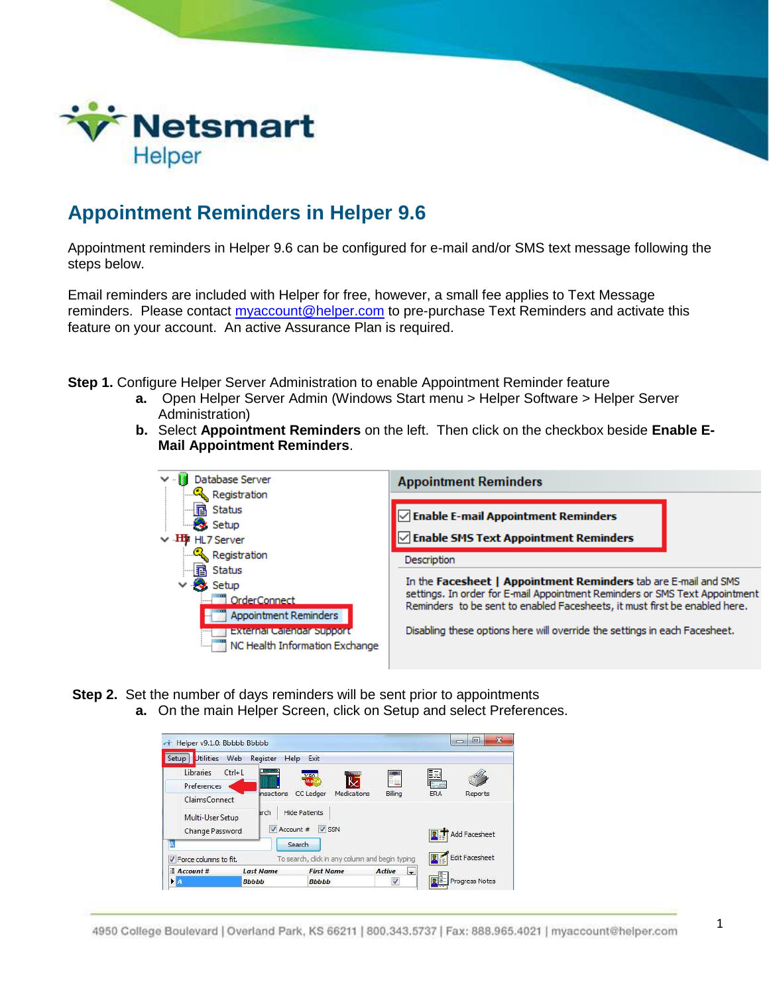

## **Appointment Reminders in Helper 9.6**

Appointment reminders in Helper 9.6 can be configured for e-mail and/or SMS text message following the steps below.

Email reminders are included with Helper for free, however, a small fee applies to Text Message reminders. Please contact [myaccount@helper.com](mailto:myaccount@helper.com) to pre-purchase Text Reminders and activate this feature on your account. An active Assurance Plan is required.

**Step 1.** Configure Helper Server Administration to enable Appointment Reminder feature

- **a.** Open Helper Server Admin (Windows Start menu > Helper Software > Helper Server Administration)
- **b.** Select **Appointment Reminders** on the left. Then click on the checkbox beside **Enable E-Mail Appointment Reminders**.



- **Step 2.** Set the number of days reminders will be sent prior to appointments
	- **a.** On the main Helper Screen, click on Setup and select Preferences.

| Libraries<br>Preferences                             | $Ctrl + 1$<br><br><b>Insactions</b> | <b>MARKETTE</b><br>VISA<br>pMage<br>CC Ledger<br>Medications | Billing | Þ<br>ERA | Reports        |
|------------------------------------------------------|-------------------------------------|--------------------------------------------------------------|---------|----------|----------------|
| ClaimsConnect<br>Multi-User Setup<br>Change Password | arch<br>Account #                   | <b>Hide Patients</b><br>$V$ SSN                              |         |          | Add Facesheet  |
| A                                                    |                                     | Search                                                       |         |          | Edit Facesheet |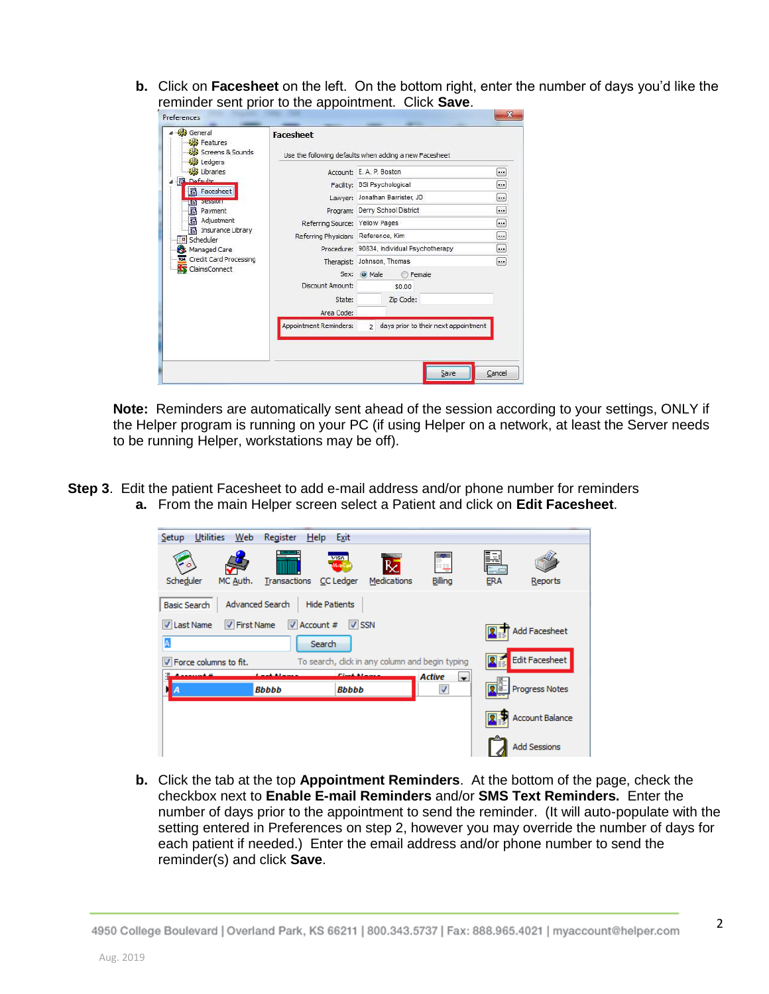**b.** Click on **Facesheet** on the left. On the bottom right, enter the number of days you'd like the reminder sent prior to the appointment. Click **Save**.

| General<br>Features<br>Screens & Sounds                                                                                                                                                                                                                  | <b>Facesheet</b>                                                         | Use the following defaults when adding a new Facesheet                                          |                  |
|----------------------------------------------------------------------------------------------------------------------------------------------------------------------------------------------------------------------------------------------------------|--------------------------------------------------------------------------|-------------------------------------------------------------------------------------------------|------------------|
| Ledgers<br>Libraries<br><b>R</b> Defaults<br><b>B</b> Facesheet<br><b>EET SESSION</b><br><b><sup>1</sup></b> Payment<br><b><sup>1</sup></b> Adjustment<br><b>i</b> a Insurance Library<br>Scheduler<br>Managed Care<br><b>NSE</b> Credit Card Processing |                                                                          | Account: E.A. P. Boston                                                                         | <b></b>          |
|                                                                                                                                                                                                                                                          |                                                                          | Facility: BSI Psychological<br>Lawyer: Jonathan Barrister, JD<br>Program: Derry School District |                  |
|                                                                                                                                                                                                                                                          |                                                                          |                                                                                                 |                  |
|                                                                                                                                                                                                                                                          |                                                                          |                                                                                                 |                  |
|                                                                                                                                                                                                                                                          | Referring Source: Yellow Pages                                           |                                                                                                 |                  |
|                                                                                                                                                                                                                                                          | Referring Physician: Reference, Kim                                      |                                                                                                 | $\boxed{\cdots}$ |
|                                                                                                                                                                                                                                                          | Procedure: 90834, Individual Psychotherapy<br>Therapist: Johnson, Thomas | $\boxed{\cdot \cdot \cdot }$                                                                    |                  |
|                                                                                                                                                                                                                                                          |                                                                          |                                                                                                 | <b></b>          |
| <b>ClaimsConnect</b>                                                                                                                                                                                                                                     | Sex:                                                                     | O Male<br><b>Female</b>                                                                         |                  |
|                                                                                                                                                                                                                                                          | Discount Amount:                                                         | \$0.00                                                                                          |                  |
|                                                                                                                                                                                                                                                          | State:                                                                   | Zip Code:                                                                                       |                  |
|                                                                                                                                                                                                                                                          | Area Code:                                                               |                                                                                                 |                  |
|                                                                                                                                                                                                                                                          | Appointment Reminders:                                                   | days prior to their next appointment<br>$\overline{2}$                                          |                  |
|                                                                                                                                                                                                                                                          |                                                                          |                                                                                                 |                  |
|                                                                                                                                                                                                                                                          |                                                                          |                                                                                                 |                  |

**Note:** Reminders are automatically sent ahead of the session according to your settings, ONLY if the Helper program is running on your PC (if using Helper on a network, at least the Server needs to be running Helper, workstations may be off).

**Step 3**. Edit the patient Facesheet to add e-mail address and/or phone number for reminders **a.** From the main Helper screen select a Patient and click on **Edit Facesheet**.

| <b>Utilities</b><br>Web<br>Register<br>Setup | <b>Help</b><br>Exit                                    |                               |                                           |                 |                        |
|----------------------------------------------|--------------------------------------------------------|-------------------------------|-------------------------------------------|-----------------|------------------------|
| mm.<br>Scheduler<br>MC Auth.                 | VISA <sup>-</sup><br>M.M.<br>CC Ledger<br>Transactions | <b>WINNIER</b><br>Medications | s<br>Billing                              | Þ<br><b>ERA</b> | Reports                |
| Advanced Search<br><b>Basic Search</b>       | <b>Hide Patients</b>                                   |                               |                                           |                 |                        |
| <b>V</b> First Name<br><b>V</b> Last Name    | $\triangledown$ Account #<br>$V$ SSN                   |                               |                                           |                 | <b>Add Facesheet</b>   |
| A                                            | Search                                                 |                               |                                           |                 |                        |
| Force columns to fit.<br>√                   | To search, click in any column and begin typing        |                               |                                           |                 | Edit Facesheet         |
|                                              |                                                        |                               | <b>Active</b><br>$\overline{\phantom{a}}$ |                 |                        |
| <b>Bbbbb</b>                                 | Bbbbb                                                  |                               | $\overline{\mathsf{v}}$                   |                 | Progress Notes         |
|                                              |                                                        |                               |                                           |                 | <b>Account Balance</b> |
|                                              |                                                        |                               |                                           |                 | <b>Add Sessions</b>    |

**b.** Click the tab at the top **Appointment Reminders**. At the bottom of the page, check the checkbox next to **Enable E-mail Reminders** and/or **SMS Text Reminders.** Enter the number of days prior to the appointment to send the reminder. (It will auto-populate with the setting entered in Preferences on step 2, however you may override the number of days for each patient if needed.) Enter the email address and/or phone number to send the reminder(s) and click **Save**.

<sup>4950</sup> College Boulevard | Overland Park, KS 66211 | 800.343.5737 | Fax: 888.965.4021 | myaccount@helper.com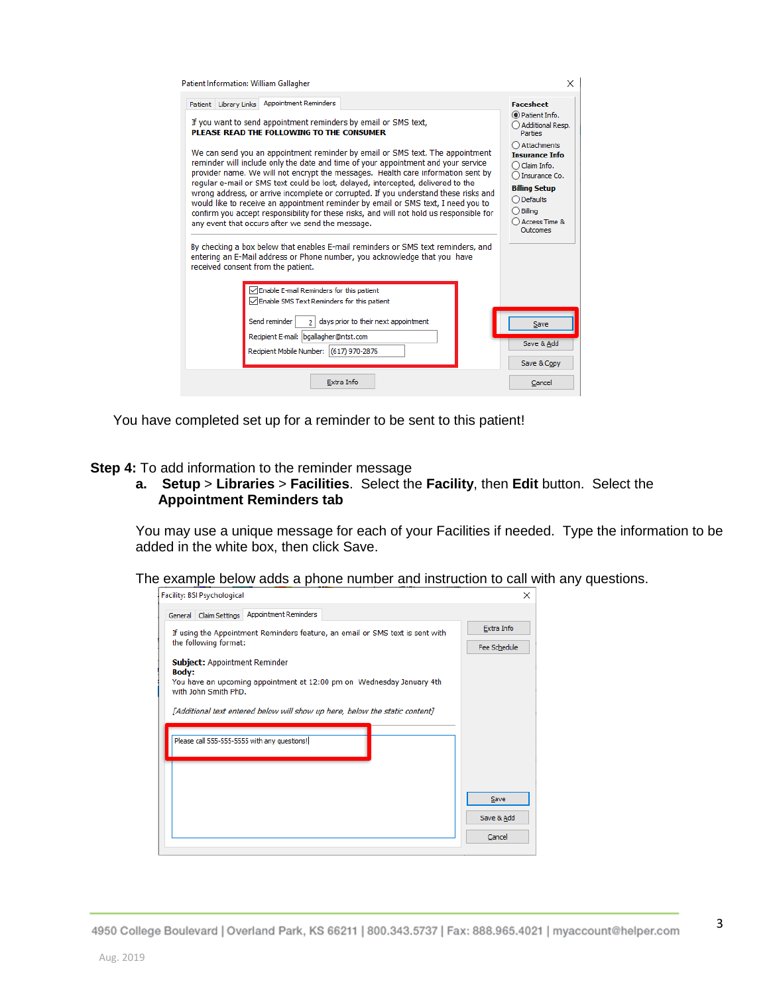| Patient Information: William Gallagher                                                                                                                                                                                                                                                                                                                                                                                                                                                                                                                                                                                                                                                                                                                                                                                                                                                                                                                                                                                                      | X                                                                                                                                                                                                                                                         |
|---------------------------------------------------------------------------------------------------------------------------------------------------------------------------------------------------------------------------------------------------------------------------------------------------------------------------------------------------------------------------------------------------------------------------------------------------------------------------------------------------------------------------------------------------------------------------------------------------------------------------------------------------------------------------------------------------------------------------------------------------------------------------------------------------------------------------------------------------------------------------------------------------------------------------------------------------------------------------------------------------------------------------------------------|-----------------------------------------------------------------------------------------------------------------------------------------------------------------------------------------------------------------------------------------------------------|
| Patient Library Links Appointment Reminders<br>If you want to send appointment reminders by email or SMS text,<br>PLEASE READ THE FOLLOWING TO THE CONSUMER<br>We can send you an appointment reminder by email or SMS text. The appointment<br>reminder will include only the date and time of your appointment and your service<br>provider name. We will not encrypt the messages. Health care information sent by<br>regular e-mail or SMS text could be lost, delayed, intercepted, delivered to the<br>wrong address, or arrive incomplete or corrupted. If you understand these risks and<br>would like to receive an appointment reminder by email or SMS text, I need you to<br>confirm you accept responsibility for these risks, and will not hold us responsible for<br>any event that occurs after we send the message.<br>By checking a box below that enables E-mail reminders or SMS text reminders, and<br>entering an E-Mail address or Phone number, you acknowledge that you have<br>received consent from the patient. | <b>Facesheet</b><br>◉ Patient Info.<br>Additional Resp.<br><b>Parties</b><br>Attachments<br><b>Insurance Info</b><br>Claim Info.<br>Insurance Co.<br><b>Billing Setup</b><br>$\bigcap$ Defaults<br>Billing<br><b>Access Time &amp;</b><br><b>Outcomes</b> |
| $\Box$ Enable E-mail Reminders for this patient<br>□ Enable SMS Text Reminders for this patient<br>days prior to their next appointment<br>Send reminder<br>$\overline{2}$<br>Recipient E-mail: bgallagher@ntst.com<br>Recipient Mobile Number: (617) 970-2876<br>Extra Info                                                                                                                                                                                                                                                                                                                                                                                                                                                                                                                                                                                                                                                                                                                                                                | Save<br>Save & Add<br>Save & Copy<br>Cancel                                                                                                                                                                                                               |

You have completed set up for a reminder to be sent to this patient!

**Step 4:** To add information to the reminder message

**a. Setup** > **Libraries** > **Facilities**. Select the **Facility**, then **Edit** button. Select the **Appointment Reminders tab**

You may use a unique message for each of your Facilities if needed. Type the information to be added in the white box, then click Save.

The example below adds a phone number and instruction to call with any questions.

| Facility: BSI Psychological                                                                                                                                                                                                          | ×                          |
|--------------------------------------------------------------------------------------------------------------------------------------------------------------------------------------------------------------------------------------|----------------------------|
| General Claim Settings Appointment Reminders                                                                                                                                                                                         |                            |
| If using the Appointment Reminders feature, an email or SMS text is sent with<br>the following format:                                                                                                                               | Extra Info<br>Fee Schedule |
| <b>Subject: Appointment Reminder</b><br><b>Body:</b><br>You have an upcoming appointment at 12:00 pm on Wednesday January 4th<br>with John Smith PhD.<br>[Additional text entered below will show up here, below the static content] |                            |
| Please call 555-555-5555 with any questions!                                                                                                                                                                                         |                            |
|                                                                                                                                                                                                                                      | Save                       |
|                                                                                                                                                                                                                                      | Save & Add<br>Cancel       |